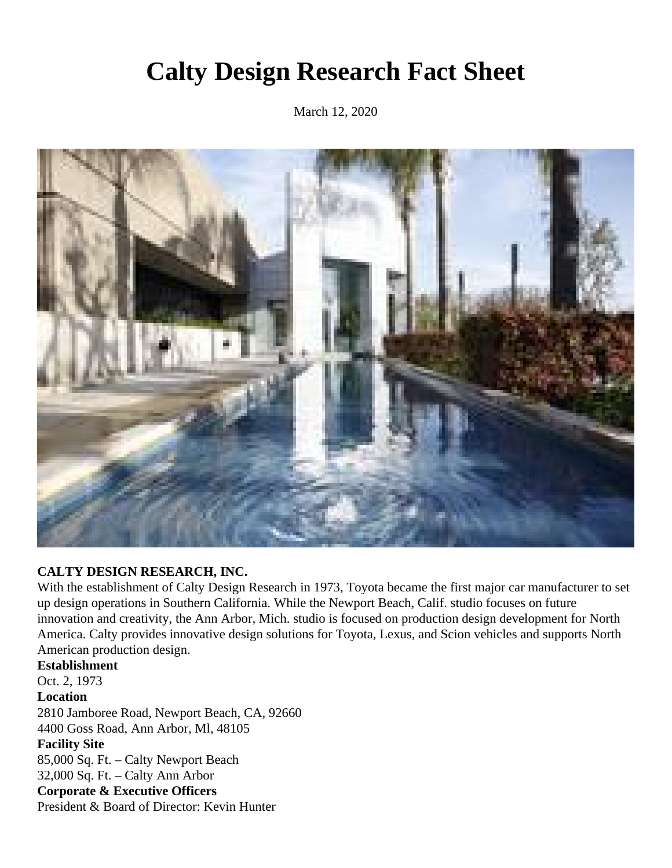## **Calty Design Research Fact Sheet**

March 12, 2020



## **CALTY DESIGN RESEARCH, INC.**

With the establishment of Calty Design Research in 1973, Toyota became the first major car manufacturer to set up design operations in Southern California. While the Newport Beach, Calif. studio focuses on future innovation and creativity, the Ann Arbor, Mich. studio is focused on production design development for North America. Calty provides innovative design solutions for Toyota, Lexus, and Scion vehicles and supports North American production design.

**Establishment** Oct. 2, 1973 **Location** 2810 Jamboree Road, Newport Beach, CA, 92660 4400 Goss Road, Ann Arbor, Ml, 48105 **Facility Site** 85,000 Sq. Ft. – Calty Newport Beach 32,000 Sq. Ft. – Calty Ann Arbor **Corporate & Executive Officers** President & Board of Director: Kevin Hunter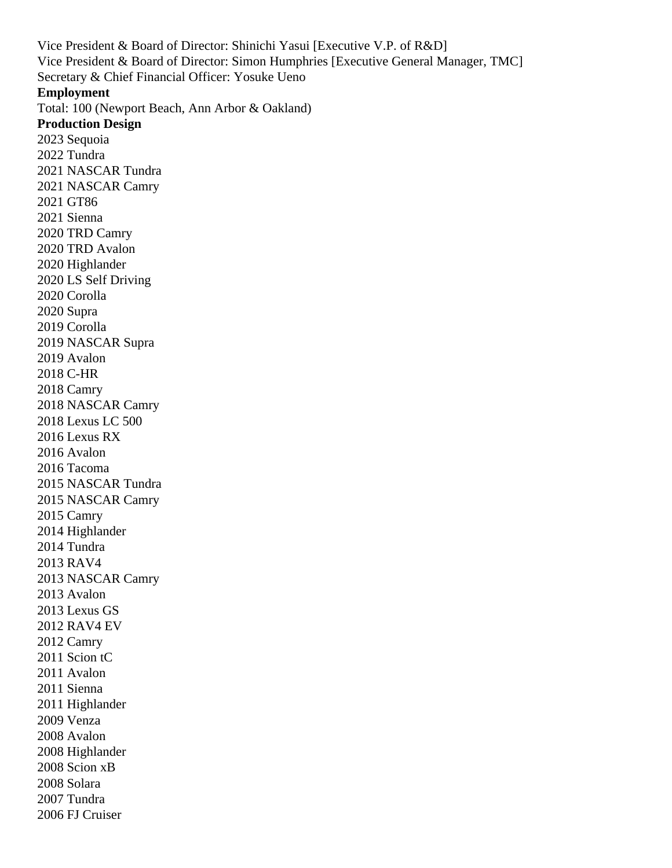Vice President & Board of Director: Shinichi Yasui [Executive V.P. of R&D] Vice President & Board of Director: Simon Humphries [Executive General Manager, TMC] Secretary & Chief Financial Officer: Yosuke Ueno **Employment** Total: 100 (Newport Beach, Ann Arbor & Oakland) **Production Design** 2023 Sequoia 2022 Tundra 2021 NASCAR Tundra 2021 NASCAR Camry 2021 GT86 2021 Sienna 2020 TRD Camry 2020 TRD Avalon 2020 Highlander 2020 LS Self Driving 2020 Corolla 2020 Supra 2019 Corolla 2019 NASCAR Supra 2019 Avalon 2018 C-HR 2018 Camry 2018 NASCAR Camry 2018 Lexus LC 500 2016 Lexus RX 2016 Avalon 2016 Tacoma 2015 NASCAR Tundra 2015 NASCAR Camry 2015 Camry 2014 Highlander 2014 Tundra 2013 RAV4 2013 NASCAR Camry 2013 Avalon 2013 Lexus GS 2012 RAV4 EV 2012 Camry 2011 Scion tC 2011 Avalon 2011 Sienna 2011 Highlander 2009 Venza 2008 Avalon 2008 Highlander 2008 Scion xB 2008 Solara 2007 Tundra

2006 FJ Cruiser